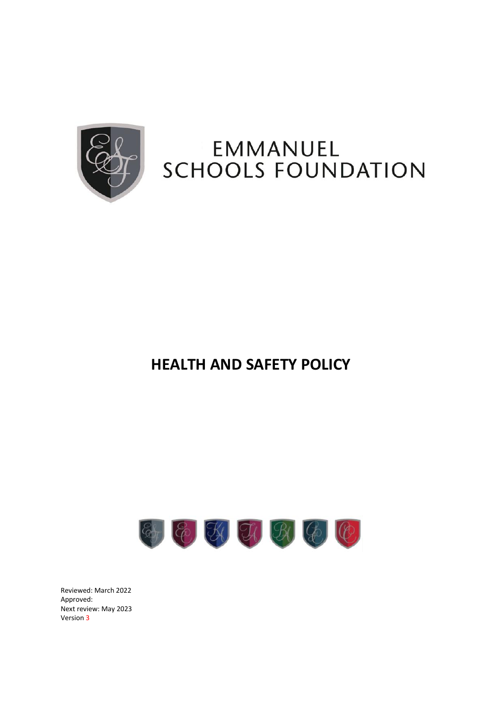

# EMMANUEL **SCHOOLS FOUNDATION**

# **HEALTH AND SAFETY POLICY**



Reviewed: March 2022 Approved: Next review: May 2023 Version 3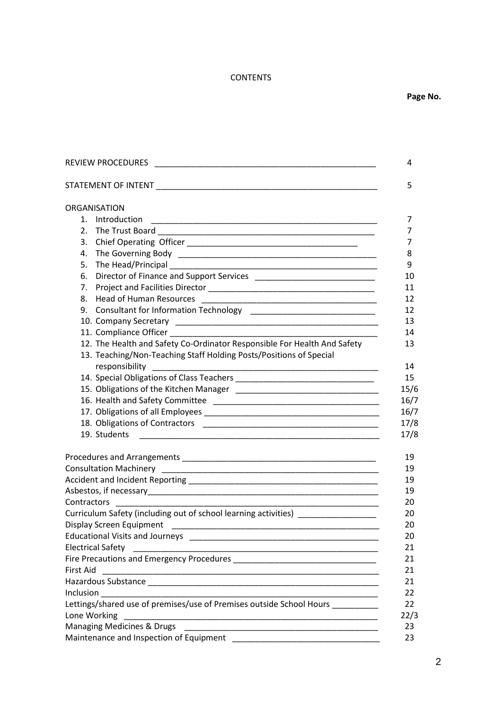# **CONTENTS**

| REVIEW PROCEDURES <b>And Container and Container and Container and Container and Container and Container and Container</b>                                                                                      | 4                                                                                   |
|-----------------------------------------------------------------------------------------------------------------------------------------------------------------------------------------------------------------|-------------------------------------------------------------------------------------|
|                                                                                                                                                                                                                 | 5                                                                                   |
| ORGANISATION<br>1. Introduction<br>6.<br>8.<br>12. The Health and Safety Co-Ordinator Responsible For Health And Safety<br>13. Teaching/Non-Teaching Staff Holding Posts/Positions of Special<br>responsibility | 7<br>7<br>7<br>8<br>9<br>10<br>11<br>12<br>12<br>13<br>14<br>13<br>14<br>15<br>15/6 |
| 19. Students                                                                                                                                                                                                    | 16/7<br>16/7<br>17/8<br>17/8                                                        |
| Contractors                                                                                                                                                                                                     | 19<br>19<br>19<br>19<br>20                                                          |
| Curriculum Safety (including out of school learning activities) ________________<br><b>Electrical Safety</b><br><b>First Aid</b>                                                                                | 20<br>20<br>20<br>21<br>21<br>21                                                    |
| Lettings/shared use of premises/use of Premises outside School Hours<br>Lone Working                                                                                                                            | 21<br>22<br>22<br>22/3<br>23                                                        |
| Maintenance and Inspection of Equipment                                                                                                                                                                         | 23                                                                                  |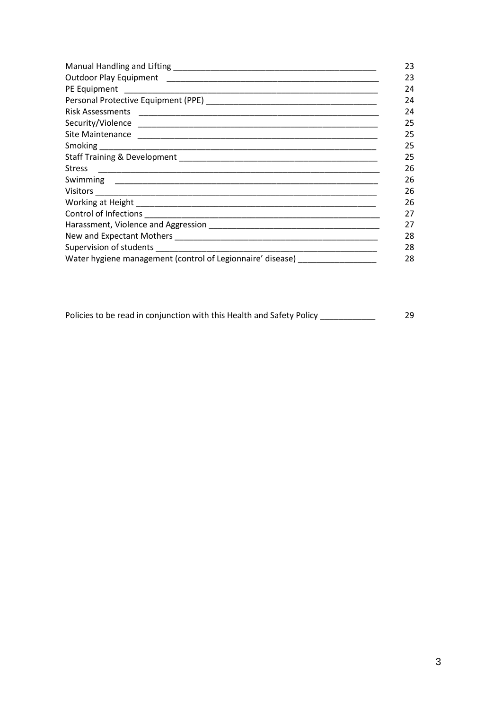|                                                            | 23 |
|------------------------------------------------------------|----|
|                                                            | 23 |
|                                                            | 24 |
|                                                            | 24 |
|                                                            | 24 |
|                                                            | 25 |
|                                                            | 25 |
|                                                            | 25 |
|                                                            | 25 |
| <b>Stress</b>                                              | 26 |
|                                                            | 26 |
|                                                            | 26 |
|                                                            | 26 |
|                                                            | 27 |
|                                                            | 27 |
|                                                            | 28 |
|                                                            | 28 |
| Water hygiene management (control of Legionnaire' disease) | 28 |

Policies to be read in conjunction with this Health and Safety Policy \_\_\_\_\_\_\_\_\_\_\_\_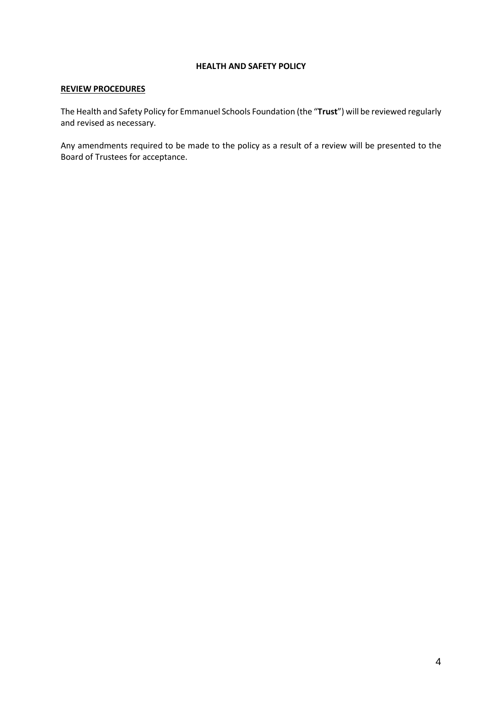#### **HEALTH AND SAFETY POLICY**

# **REVIEW PROCEDURES**

The Health and Safety Policy for Emmanuel Schools Foundation (the "**Trust**") will be reviewed regularly and revised as necessary.

Any amendments required to be made to the policy as a result of a review will be presented to the Board of Trustees for acceptance.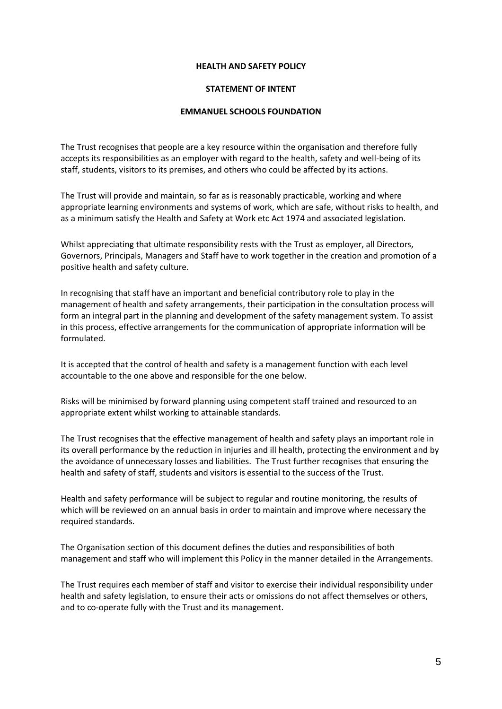#### **HEALTH AND SAFETY POLICY**

#### **STATEMENT OF INTENT**

#### **EMMANUEL SCHOOLS FOUNDATION**

The Trust recognises that people are a key resource within the organisation and therefore fully accepts its responsibilities as an employer with regard to the health, safety and well-being of its staff, students, visitors to its premises, and others who could be affected by its actions.

The Trust will provide and maintain, so far as is reasonably practicable, working and where appropriate learning environments and systems of work, which are safe, without risks to health, and as a minimum satisfy the Health and Safety at Work etc Act 1974 and associated legislation.

Whilst appreciating that ultimate responsibility rests with the Trust as employer, all Directors, Governors, Principals, Managers and Staff have to work together in the creation and promotion of a positive health and safety culture.

In recognising that staff have an important and beneficial contributory role to play in the management of health and safety arrangements, their participation in the consultation process will form an integral part in the planning and development of the safety management system. To assist in this process, effective arrangements for the communication of appropriate information will be formulated.

It is accepted that the control of health and safety is a management function with each level accountable to the one above and responsible for the one below.

Risks will be minimised by forward planning using competent staff trained and resourced to an appropriate extent whilst working to attainable standards.

The Trust recognises that the effective management of health and safety plays an important role in its overall performance by the reduction in injuries and ill health, protecting the environment and by the avoidance of unnecessary losses and liabilities. The Trust further recognises that ensuring the health and safety of staff, students and visitors is essential to the success of the Trust.

Health and safety performance will be subject to regular and routine monitoring, the results of which will be reviewed on an annual basis in order to maintain and improve where necessary the required standards.

The Organisation section of this document defines the duties and responsibilities of both management and staff who will implement this Policy in the manner detailed in the Arrangements.

The Trust requires each member of staff and visitor to exercise their individual responsibility under health and safety legislation, to ensure their acts or omissions do not affect themselves or others, and to co-operate fully with the Trust and its management.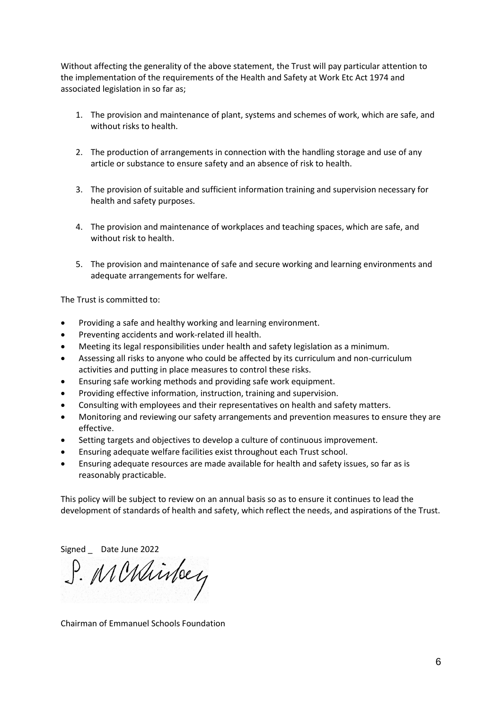Without affecting the generality of the above statement, the Trust will pay particular attention to the implementation of the requirements of the Health and Safety at Work Etc Act 1974 and associated legislation in so far as;

- 1. The provision and maintenance of plant, systems and schemes of work, which are safe, and without risks to health.
- 2. The production of arrangements in connection with the handling storage and use of any article or substance to ensure safety and an absence of risk to health.
- 3. The provision of suitable and sufficient information training and supervision necessary for health and safety purposes.
- 4. The provision and maintenance of workplaces and teaching spaces, which are safe, and without risk to health.
- 5. The provision and maintenance of safe and secure working and learning environments and adequate arrangements for welfare.

The Trust is committed to:

- Providing a safe and healthy working and learning environment.
- Preventing accidents and work-related ill health.
- Meeting its legal responsibilities under health and safety legislation as a minimum.
- Assessing all risks to anyone who could be affected by its curriculum and non-curriculum activities and putting in place measures to control these risks.
- Ensuring safe working methods and providing safe work equipment.
- Providing effective information, instruction, training and supervision.
- Consulting with employees and their representatives on health and safety matters.
- Monitoring and reviewing our safety arrangements and prevention measures to ensure they are effective.
- Setting targets and objectives to develop a culture of continuous improvement.
- Ensuring adequate welfare facilities exist throughout each Trust school.
- Ensuring adequate resources are made available for health and safety issues, so far as is reasonably practicable.

This policy will be subject to review on an annual basis so as to ensure it continues to lead the development of standards of health and safety, which reflect the needs, and aspirations of the Trust.

Signed \_ Date June 2022<br>J. MINMinley

Chairman of Emmanuel Schools Foundation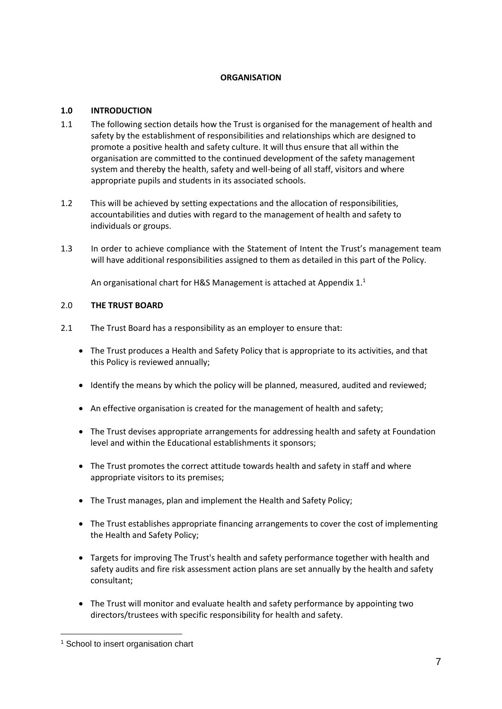# **ORGANISATION**

# **1.0 INTRODUCTION**

- 1.1 The following section details how the Trust is organised for the management of health and safety by the establishment of responsibilities and relationships which are designed to promote a positive health and safety culture. It will thus ensure that all within the organisation are committed to the continued development of the safety management system and thereby the health, safety and well-being of all staff, visitors and where appropriate pupils and students in its associated schools.
- 1.2 This will be achieved by setting expectations and the allocation of responsibilities, accountabilities and duties with regard to the management of health and safety to individuals or groups.
- 1.3 In order to achieve compliance with the Statement of Intent the Trust's management team will have additional responsibilities assigned to them as detailed in this part of the Policy.

An organisational chart for H&S Management is attached at Appendix  $1<sup>1</sup>$ 

# 2.0 **THE TRUST BOARD**

- 2.1 The Trust Board has a responsibility as an employer to ensure that:
	- The Trust produces a Health and Safety Policy that is appropriate to its activities, and that this Policy is reviewed annually;
	- Identify the means by which the policy will be planned, measured, audited and reviewed;
	- An effective organisation is created for the management of health and safety;
	- The Trust devises appropriate arrangements for addressing health and safety at Foundation level and within the Educational establishments it sponsors;
	- The Trust promotes the correct attitude towards health and safety in staff and where appropriate visitors to its premises;
	- The Trust manages, plan and implement the Health and Safety Policy;
	- The Trust establishes appropriate financing arrangements to cover the cost of implementing the Health and Safety Policy;
	- Targets for improving The Trust's health and safety performance together with health and safety audits and fire risk assessment action plans are set annually by the health and safety consultant;
	- The Trust will monitor and evaluate health and safety performance by appointing two directors/trustees with specific responsibility for health and safety.

<sup>&</sup>lt;sup>1</sup> School to insert organisation chart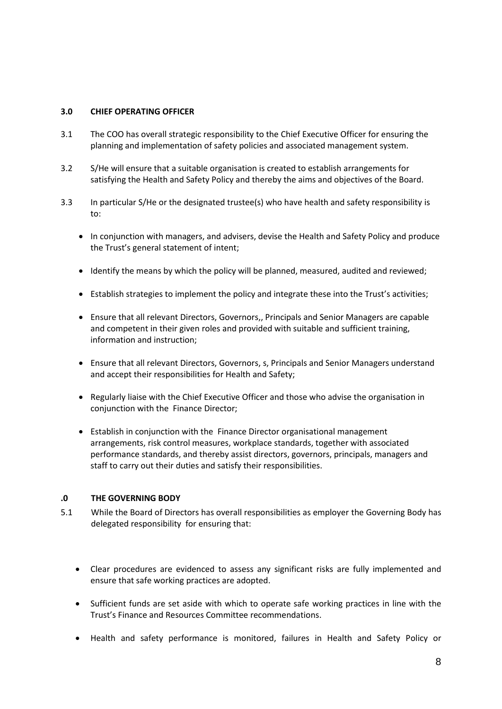### **3.0 CHIEF OPERATING OFFICER**

- 3.1 The COO has overall strategic responsibility to the Chief Executive Officer for ensuring the planning and implementation of safety policies and associated management system.
- 3.2 S/He will ensure that a suitable organisation is created to establish arrangements for satisfying the Health and Safety Policy and thereby the aims and objectives of the Board.
- 3.3 In particular S/He or the designated trustee(s) who have health and safety responsibility is to:
	- In conjunction with managers, and advisers, devise the Health and Safety Policy and produce the Trust's general statement of intent;
	- Identify the means by which the policy will be planned, measured, audited and reviewed;
	- Establish strategies to implement the policy and integrate these into the Trust's activities;
	- Ensure that all relevant Directors, Governors,, Principals and Senior Managers are capable and competent in their given roles and provided with suitable and sufficient training, information and instruction;
	- Ensure that all relevant Directors, Governors, s, Principals and Senior Managers understand and accept their responsibilities for Health and Safety;
	- Regularly liaise with the Chief Executive Officer and those who advise the organisation in conjunction with the Finance Director;
	- Establish in conjunction with the Finance Director organisational management arrangements, risk control measures, workplace standards, together with associated performance standards, and thereby assist directors, governors, principals, managers and staff to carry out their duties and satisfy their responsibilities.

#### **.0 THE GOVERNING BODY**

- 5.1 While the Board of Directors has overall responsibilities as employer the Governing Body has delegated responsibility for ensuring that:
	- Clear procedures are evidenced to assess any significant risks are fully implemented and ensure that safe working practices are adopted.
	- Sufficient funds are set aside with which to operate safe working practices in line with the Trust's Finance and Resources Committee recommendations.
	- Health and safety performance is monitored, failures in Health and Safety Policy or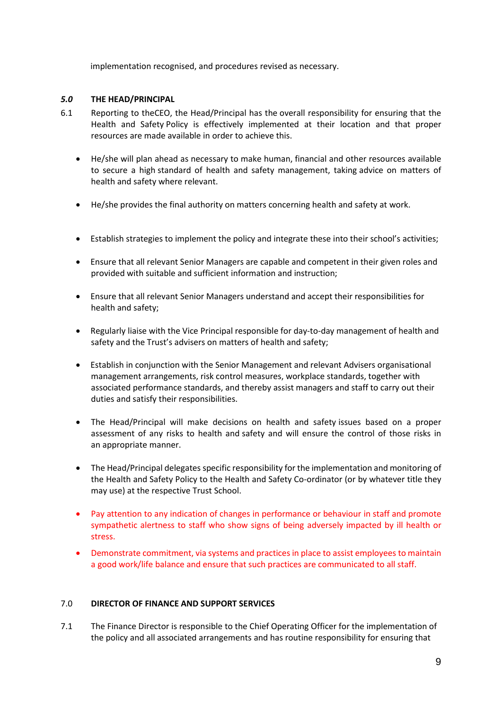implementation recognised, and procedures revised as necessary.

# *5.0* **THE HEAD/PRINCIPAL**

- 6.1 Reporting to theCEO, the Head/Principal has the overall responsibility for ensuring that the Health and Safety Policy is effectively implemented at their location and that proper resources are made available in order to achieve this.
	- He/she will plan ahead as necessary to make human, financial and other resources available to secure a high standard of health and safety management, taking advice on matters of health and safety where relevant.
	- He/she provides the final authority on matters concerning health and safety at work.
	- Establish strategies to implement the policy and integrate these into their school's activities;
	- Ensure that all relevant Senior Managers are capable and competent in their given roles and provided with suitable and sufficient information and instruction;
	- Ensure that all relevant Senior Managers understand and accept their responsibilities for health and safety;
	- Regularly liaise with the Vice Principal responsible for day-to-day management of health and safety and the Trust's advisers on matters of health and safety;
	- Establish in conjunction with the Senior Management and relevant Advisers organisational management arrangements, risk control measures, workplace standards, together with associated performance standards, and thereby assist managers and staff to carry out their duties and satisfy their responsibilities.
	- The Head/Principal will make decisions on health and safety issues based on a proper assessment of any risks to health and safety and will ensure the control of those risks in an appropriate manner.
	- The Head/Principal delegates specific responsibility for the implementation and monitoring of the Health and Safety Policy to the Health and Safety Co-ordinator (or by whatever title they may use) at the respective Trust School.
	- Pay attention to any indication of changes in performance or behaviour in staff and promote sympathetic alertness to staff who show signs of being adversely impacted by ill health or stress.
	- Demonstrate commitment, via systems and practices in place to assist employees to maintain a good work/life balance and ensure that such practices are communicated to all staff.

#### 7.0 **DIRECTOR OF FINANCE AND SUPPORT SERVICES**

7.1 The Finance Director is responsible to the Chief Operating Officer for the implementation of the policy and all associated arrangements and has routine responsibility for ensuring that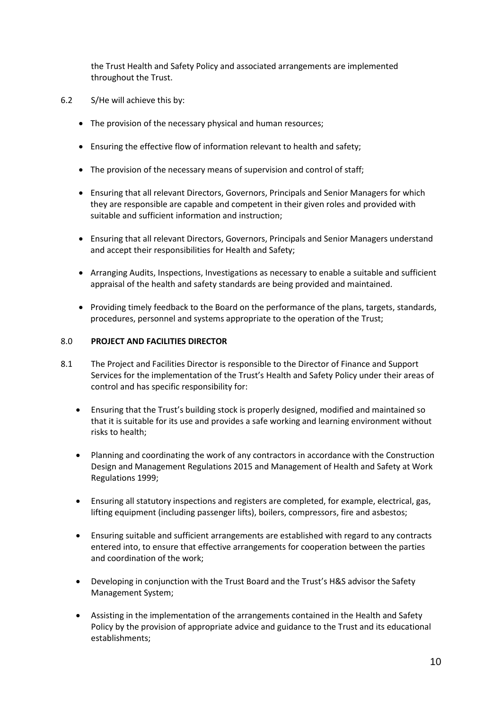the Trust Health and Safety Policy and associated arrangements are implemented throughout the Trust.

- 6.2 S/He will achieve this by:
	- The provision of the necessary physical and human resources;
	- Ensuring the effective flow of information relevant to health and safety;
	- The provision of the necessary means of supervision and control of staff;
	- Ensuring that all relevant Directors, Governors, Principals and Senior Managers for which they are responsible are capable and competent in their given roles and provided with suitable and sufficient information and instruction;
	- Ensuring that all relevant Directors, Governors, Principals and Senior Managers understand and accept their responsibilities for Health and Safety;
	- Arranging Audits, Inspections, Investigations as necessary to enable a suitable and sufficient appraisal of the health and safety standards are being provided and maintained.
	- Providing timely feedback to the Board on the performance of the plans, targets, standards, procedures, personnel and systems appropriate to the operation of the Trust;

# 8.0 **PROJECT AND FACILITIES DIRECTOR**

- 8.1 The Project and Facilities Director is responsible to the Director of Finance and Support Services for the implementation of the Trust's Health and Safety Policy under their areas of control and has specific responsibility for:
	- Ensuring that the Trust's building stock is properly designed, modified and maintained so that it is suitable for its use and provides a safe working and learning environment without risks to health;
	- Planning and coordinating the work of any contractors in accordance with the Construction Design and Management Regulations 2015 and Management of Health and Safety at Work Regulations 1999;
	- Ensuring all statutory inspections and registers are completed, for example, electrical, gas, lifting equipment (including passenger lifts), boilers, compressors, fire and asbestos;
	- Ensuring suitable and sufficient arrangements are established with regard to any contracts entered into, to ensure that effective arrangements for cooperation between the parties and coordination of the work;
	- Developing in conjunction with the Trust Board and the Trust's H&S advisor the Safety Management System;
	- Assisting in the implementation of the arrangements contained in the Health and Safety Policy by the provision of appropriate advice and guidance to the Trust and its educational establishments;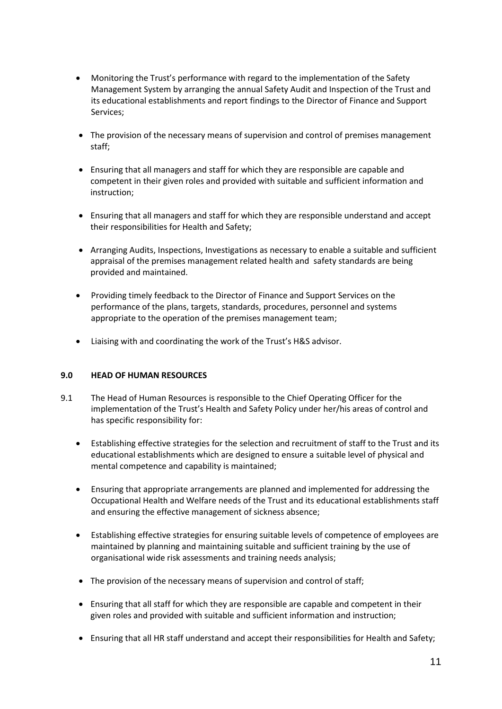- Monitoring the Trust's performance with regard to the implementation of the Safety Management System by arranging the annual Safety Audit and Inspection of the Trust and its educational establishments and report findings to the Director of Finance and Support Services;
- The provision of the necessary means of supervision and control of premises management staff;
- Ensuring that all managers and staff for which they are responsible are capable and competent in their given roles and provided with suitable and sufficient information and instruction;
- Ensuring that all managers and staff for which they are responsible understand and accept their responsibilities for Health and Safety;
- Arranging Audits, Inspections, Investigations as necessary to enable a suitable and sufficient appraisal of the premises management related health and safety standards are being provided and maintained.
- Providing timely feedback to the Director of Finance and Support Services on the performance of the plans, targets, standards, procedures, personnel and systems appropriate to the operation of the premises management team;
- Liaising with and coordinating the work of the Trust's H&S advisor.

# **9.0 HEAD OF HUMAN RESOURCES**

- 9.1 The Head of Human Resources is responsible to the Chief Operating Officer for the implementation of the Trust's Health and Safety Policy under her/his areas of control and has specific responsibility for:
	- Establishing effective strategies for the selection and recruitment of staff to the Trust and its educational establishments which are designed to ensure a suitable level of physical and mental competence and capability is maintained;
	- Ensuring that appropriate arrangements are planned and implemented for addressing the Occupational Health and Welfare needs of the Trust and its educational establishments staff and ensuring the effective management of sickness absence;
	- Establishing effective strategies for ensuring suitable levels of competence of employees are maintained by planning and maintaining suitable and sufficient training by the use of organisational wide risk assessments and training needs analysis;
	- The provision of the necessary means of supervision and control of staff;
	- Ensuring that all staff for which they are responsible are capable and competent in their given roles and provided with suitable and sufficient information and instruction;
	- Ensuring that all HR staff understand and accept their responsibilities for Health and Safety;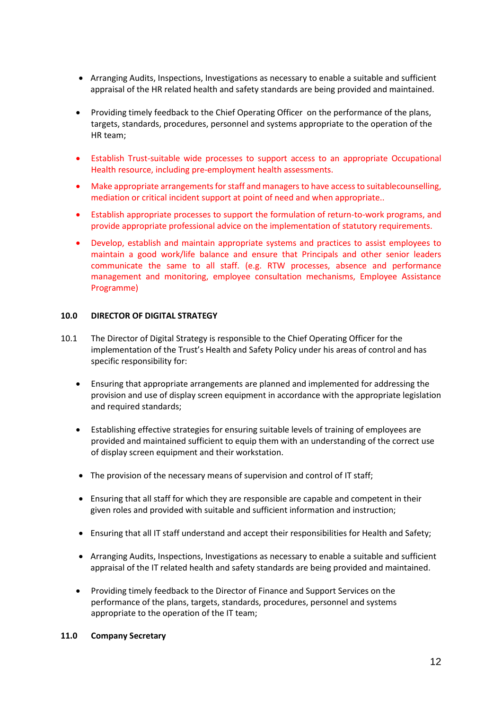- Arranging Audits, Inspections, Investigations as necessary to enable a suitable and sufficient appraisal of the HR related health and safety standards are being provided and maintained.
- Providing timely feedback to the Chief Operating Officer on the performance of the plans, targets, standards, procedures, personnel and systems appropriate to the operation of the HR team;
- Establish Trust-suitable wide processes to support access to an appropriate Occupational Health resource, including pre-employment health assessments.
- Make appropriate arrangements for staff and managers to have access to suitablecounselling, mediation or critical incident support at point of need and when appropriate..
- Establish appropriate processes to support the formulation of return-to-work programs, and provide appropriate professional advice on the implementation of statutory requirements.
- Develop, establish and maintain appropriate systems and practices to assist employees to maintain a good work/life balance and ensure that Principals and other senior leaders communicate the same to all staff. (e.g. RTW processes, absence and performance management and monitoring, employee consultation mechanisms, Employee Assistance Programme)

#### **10.0 DIRECTOR OF DIGITAL STRATEGY**

- 10.1 The Director of Digital Strategy is responsible to the Chief Operating Officer for the implementation of the Trust's Health and Safety Policy under his areas of control and has specific responsibility for:
	- Ensuring that appropriate arrangements are planned and implemented for addressing the provision and use of display screen equipment in accordance with the appropriate legislation and required standards;
	- Establishing effective strategies for ensuring suitable levels of training of employees are provided and maintained sufficient to equip them with an understanding of the correct use of display screen equipment and their workstation.
	- The provision of the necessary means of supervision and control of IT staff;
	- Ensuring that all staff for which they are responsible are capable and competent in their given roles and provided with suitable and sufficient information and instruction;
	- Ensuring that all IT staff understand and accept their responsibilities for Health and Safety;
	- Arranging Audits, Inspections, Investigations as necessary to enable a suitable and sufficient appraisal of the IT related health and safety standards are being provided and maintained.
	- Providing timely feedback to the Director of Finance and Support Services on the performance of the plans, targets, standards, procedures, personnel and systems appropriate to the operation of the IT team;

#### **11.0 Company Secretary**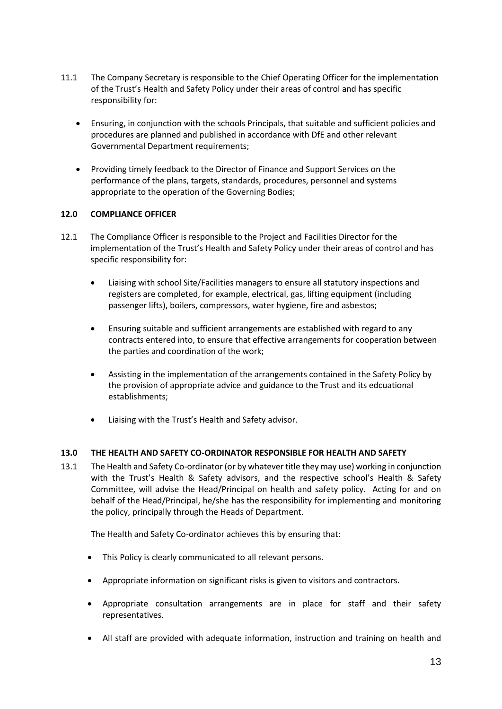- 11.1 The Company Secretary is responsible to the Chief Operating Officer for the implementation of the Trust's Health and Safety Policy under their areas of control and has specific responsibility for:
	- Ensuring, in conjunction with the schools Principals, that suitable and sufficient policies and procedures are planned and published in accordance with DfE and other relevant Governmental Department requirements;
	- Providing timely feedback to the Director of Finance and Support Services on the performance of the plans, targets, standards, procedures, personnel and systems appropriate to the operation of the Governing Bodies;

# **12.0 COMPLIANCE OFFICER**

- 12.1 The Compliance Officer is responsible to the Project and Facilities Director for the implementation of the Trust's Health and Safety Policy under their areas of control and has specific responsibility for:
	- Liaising with school Site/Facilities managers to ensure all statutory inspections and registers are completed, for example, electrical, gas, lifting equipment (including passenger lifts), boilers, compressors, water hygiene, fire and asbestos;
	- Ensuring suitable and sufficient arrangements are established with regard to any contracts entered into, to ensure that effective arrangements for cooperation between the parties and coordination of the work;
	- Assisting in the implementation of the arrangements contained in the Safety Policy by the provision of appropriate advice and guidance to the Trust and its edcuational establishments;
	- Liaising with the Trust's Health and Safety advisor.

# **13.0 THE HEALTH AND SAFETY CO-ORDINATOR RESPONSIBLE FOR HEALTH AND SAFETY**

13.1 The Health and Safety Co-ordinator (or by whatever title they may use) working in conjunction with the Trust's Health & Safety advisors, and the respective school's Health & Safety Committee, will advise the Head/Principal on health and safety policy. Acting for and on behalf of the Head/Principal, he/she has the responsibility for implementing and monitoring the policy, principally through the Heads of Department.

The Health and Safety Co-ordinator achieves this by ensuring that:

- This Policy is clearly communicated to all relevant persons.
- Appropriate information on significant risks is given to visitors and contractors.
- Appropriate consultation arrangements are in place for staff and their safety representatives.
- All staff are provided with adequate information, instruction and training on health and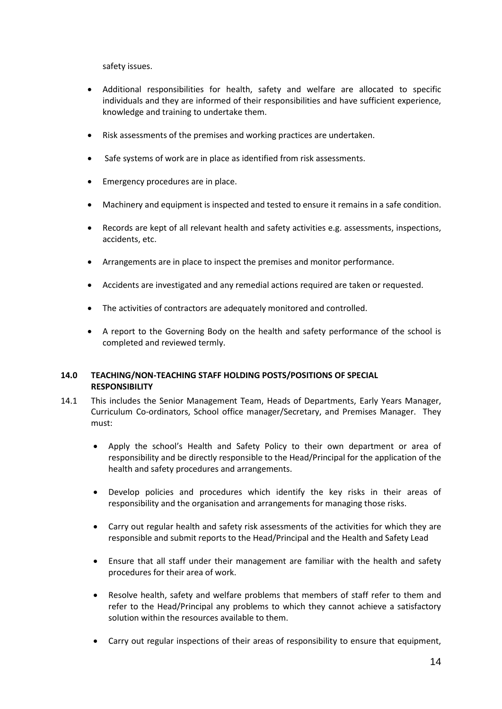safety issues.

- Additional responsibilities for health, safety and welfare are allocated to specific individuals and they are informed of their responsibilities and have sufficient experience, knowledge and training to undertake them.
- Risk assessments of the premises and working practices are undertaken.
- Safe systems of work are in place as identified from risk assessments.
- Emergency procedures are in place.
- Machinery and equipment is inspected and tested to ensure it remains in a safe condition.
- Records are kept of all relevant health and safety activities e.g. assessments, inspections, accidents, etc.
- Arrangements are in place to inspect the premises and monitor performance.
- Accidents are investigated and any remedial actions required are taken or requested.
- The activities of contractors are adequately monitored and controlled.
- A report to the Governing Body on the health and safety performance of the school is completed and reviewed termly.

# **14.0 TEACHING/NON-TEACHING STAFF HOLDING POSTS/POSITIONS OF SPECIAL RESPONSIBILITY**

- 14.1 This includes the Senior Management Team, Heads of Departments, Early Years Manager, Curriculum Co-ordinators, School office manager/Secretary, and Premises Manager. They must:
	- Apply the school's Health and Safety Policy to their own department or area of responsibility and be directly responsible to the Head/Principal for the application of the health and safety procedures and arrangements.
	- Develop policies and procedures which identify the key risks in their areas of responsibility and the organisation and arrangements for managing those risks.
	- Carry out regular health and safety risk assessments of the activities for which they are responsible and submit reports to the Head/Principal and the Health and Safety Lead
	- Ensure that all staff under their management are familiar with the health and safety procedures for their area of work.
	- Resolve health, safety and welfare problems that members of staff refer to them and refer to the Head/Principal any problems to which they cannot achieve a satisfactory solution within the resources available to them.
	- Carry out regular inspections of their areas of responsibility to ensure that equipment,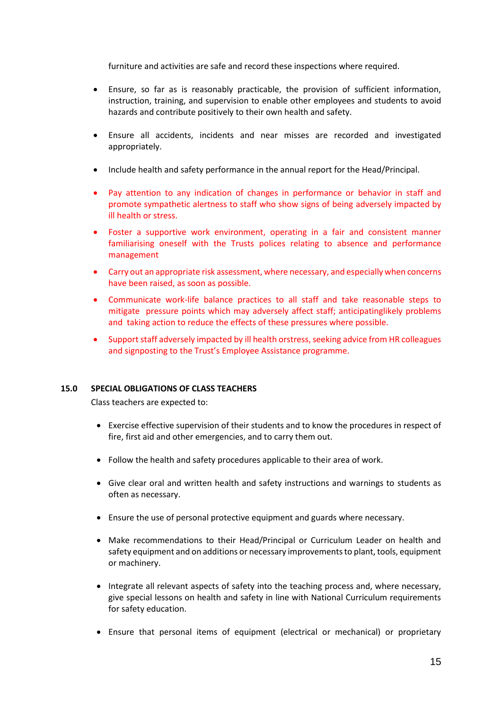furniture and activities are safe and record these inspections where required.

- Ensure, so far as is reasonably practicable, the provision of sufficient information, instruction, training, and supervision to enable other employees and students to avoid hazards and contribute positively to their own health and safety.
- Ensure all accidents, incidents and near misses are recorded and investigated appropriately.
- Include health and safety performance in the annual report for the Head/Principal.
- Pay attention to any indication of changes in performance or behavior in staff and promote sympathetic alertness to staff who show signs of being adversely impacted by ill health or stress.
- Foster a supportive work environment, operating in a fair and consistent manner familiarising oneself with the Trusts polices relating to absence and performance management
- Carry out an appropriate risk assessment, where necessary, and especially when concerns have been raised, as soon as possible.
- Communicate work-life balance practices to all staff and take reasonable steps to mitigate pressure points which may adversely affect staff; anticipatinglikely problems and taking action to reduce the effects of these pressures where possible.
- Support staff adversely impacted by ill health orstress, seeking advice from HR colleagues and signposting to the Trust's Employee Assistance programme.

#### **15.0 SPECIAL OBLIGATIONS OF CLASS TEACHERS**

Class teachers are expected to:

- Exercise effective supervision of their students and to know the procedures in respect of fire, first aid and other emergencies, and to carry them out.
- Follow the health and safety procedures applicable to their area of work.
- Give clear oral and written health and safety instructions and warnings to students as often as necessary.
- Ensure the use of personal protective equipment and guards where necessary.
- Make recommendations to their Head/Principal or Curriculum Leader on health and safety equipment and on additions or necessary improvements to plant, tools, equipment or machinery.
- Integrate all relevant aspects of safety into the teaching process and, where necessary, give special lessons on health and safety in line with National Curriculum requirements for safety education.
- Ensure that personal items of equipment (electrical or mechanical) or proprietary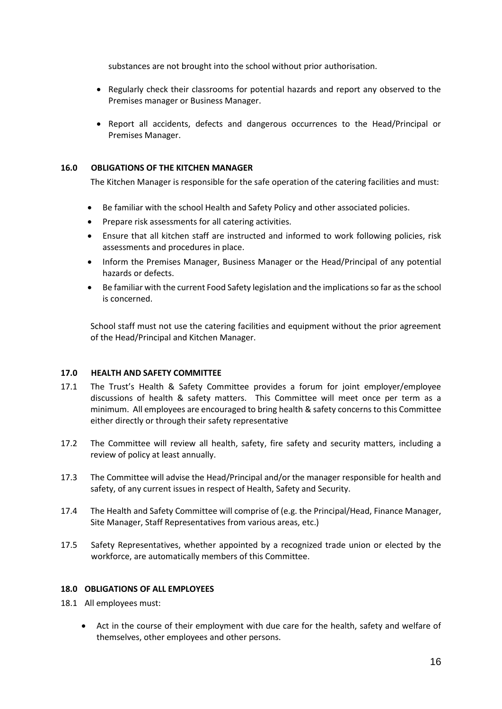substances are not brought into the school without prior authorisation.

- Regularly check their classrooms for potential hazards and report any observed to the Premises manager or Business Manager.
- Report all accidents, defects and dangerous occurrences to the Head/Principal or Premises Manager.

### **16.0 OBLIGATIONS OF THE KITCHEN MANAGER**

The Kitchen Manager is responsible for the safe operation of the catering facilities and must:

- Be familiar with the school Health and Safety Policy and other associated policies.
- Prepare risk assessments for all catering activities.
- Ensure that all kitchen staff are instructed and informed to work following policies, risk assessments and procedures in place.
- Inform the Premises Manager, Business Manager or the Head/Principal of any potential hazards or defects.
- Be familiar with the current Food Safety legislation and the implications so far as the school is concerned.

School staff must not use the catering facilities and equipment without the prior agreement of the Head/Principal and Kitchen Manager.

#### **17.0 HEALTH AND SAFETY COMMITTEE**

- 17.1 The Trust's Health & Safety Committee provides a forum for joint employer/employee discussions of health & safety matters. This Committee will meet once per term as a minimum. All employees are encouraged to bring health & safety concerns to this Committee either directly or through their safety representative
- 17.2 The Committee will review all health, safety, fire safety and security matters, including a review of policy at least annually.
- 17.3 The Committee will advise the Head/Principal and/or the manager responsible for health and safety, of any current issues in respect of Health, Safety and Security.
- 17.4 The Health and Safety Committee will comprise of (e.g. the Principal/Head, Finance Manager, Site Manager, Staff Representatives from various areas, etc.)
- 17.5 Safety Representatives, whether appointed by a recognized trade union or elected by the workforce, are automatically members of this Committee.

# **18.0 OBLIGATIONS OF ALL EMPLOYEES**

- 18.1 All employees must:
	- Act in the course of their employment with due care for the health, safety and welfare of themselves, other employees and other persons.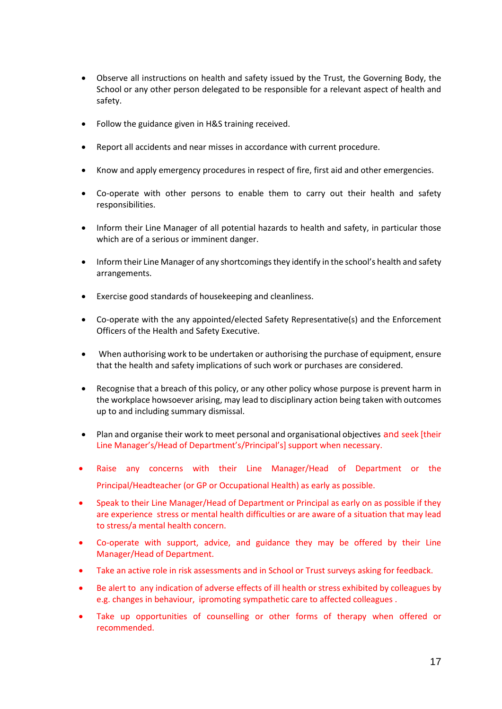- Observe all instructions on health and safety issued by the Trust, the Governing Body, the School or any other person delegated to be responsible for a relevant aspect of health and safety.
- Follow the guidance given in H&S training received.
- Report all accidents and near misses in accordance with current procedure.
- Know and apply emergency procedures in respect of fire, first aid and other emergencies.
- Co-operate with other persons to enable them to carry out their health and safety responsibilities.
- Inform their Line Manager of all potential hazards to health and safety, in particular those which are of a serious or imminent danger.
- Inform their Line Manager of any shortcomings they identify in the school's health and safety arrangements.
- Exercise good standards of housekeeping and cleanliness.
- Co-operate with the any appointed/elected Safety Representative(s) and the Enforcement Officers of the Health and Safety Executive.
- When authorising work to be undertaken or authorising the purchase of equipment, ensure that the health and safety implications of such work or purchases are considered.
- Recognise that a breach of this policy, or any other policy whose purpose is prevent harm in the workplace howsoever arising, may lead to disciplinary action being taken with outcomes up to and including summary dismissal.
- Plan and organise their work to meet personal and organisational objectives and seek [their Line Manager's/Head of Department's/Principal's] support when necessary.
- Raise any concerns with their Line Manager/Head of Department or the Principal/Headteacher (or GP or Occupational Health) as early as possible.
- Speak to their Line Manager/Head of Department or Principal as early on as possible if they are experience stress or mental health difficulties or are aware of a situation that may lead to stress/a mental health concern.
- Co-operate with support, advice, and guidance they may be offered by their Line Manager/Head of Department.
- Take an active role in risk assessments and in School or Trust surveys asking for feedback.
- Be alert to any indication of adverse effects of ill health or stress exhibited by colleagues by e.g. changes in behaviour, ipromoting sympathetic care to affected colleagues .
- Take up opportunities of counselling or other forms of therapy when offered or recommended.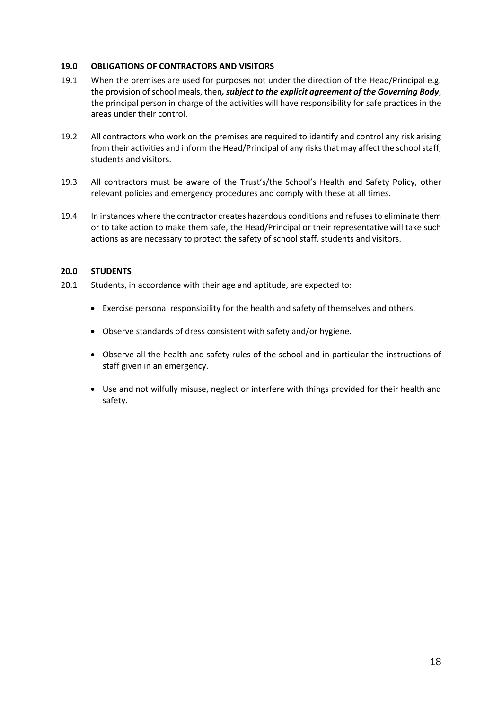#### **19.0 OBLIGATIONS OF CONTRACTORS AND VISITORS**

- 19.1 When the premises are used for purposes not under the direction of the Head/Principal e.g. the provision of school meals, then*, subject to the explicit agreement of the Governing Body*, the principal person in charge of the activities will have responsibility for safe practices in the areas under their control.
- 19.2 All contractors who work on the premises are required to identify and control any risk arising from their activities and inform the Head/Principal of any risks that may affect the school staff, students and visitors.
- 19.3 All contractors must be aware of the Trust's/the School's Health and Safety Policy, other relevant policies and emergency procedures and comply with these at all times.
- 19.4 In instances where the contractor creates hazardous conditions and refuses to eliminate them or to take action to make them safe, the Head/Principal or their representative will take such actions as are necessary to protect the safety of school staff, students and visitors.

# **20.0 STUDENTS**

- 20.1 Students, in accordance with their age and aptitude, are expected to:
	- Exercise personal responsibility for the health and safety of themselves and others.
	- Observe standards of dress consistent with safety and/or hygiene.
	- Observe all the health and safety rules of the school and in particular the instructions of staff given in an emergency.
	- Use and not wilfully misuse, neglect or interfere with things provided for their health and safety.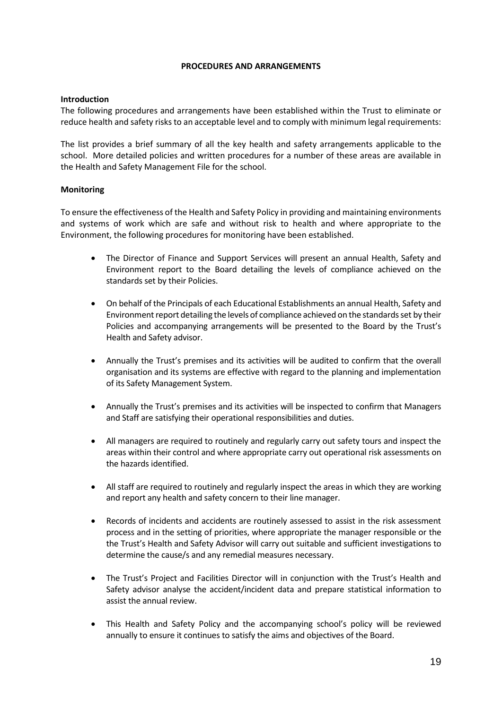#### **PROCEDURES AND ARRANGEMENTS**

### **Introduction**

The following procedures and arrangements have been established within the Trust to eliminate or reduce health and safety risks to an acceptable level and to comply with minimum legal requirements:

The list provides a brief summary of all the key health and safety arrangements applicable to the school. More detailed policies and written procedures for a number of these areas are available in the Health and Safety Management File for the school.

# **Monitoring**

To ensure the effectiveness of the Health and Safety Policy in providing and maintaining environments and systems of work which are safe and without risk to health and where appropriate to the Environment, the following procedures for monitoring have been established.

- The Director of Finance and Support Services will present an annual Health, Safety and Environment report to the Board detailing the levels of compliance achieved on the standards set by their Policies.
- On behalf of the Principals of each Educational Establishments an annual Health, Safety and Environment report detailing the levels of compliance achieved on the standards set by their Policies and accompanying arrangements will be presented to the Board by the Trust's Health and Safety advisor.
- Annually the Trust's premises and its activities will be audited to confirm that the overall organisation and its systems are effective with regard to the planning and implementation of its Safety Management System.
- Annually the Trust's premises and its activities will be inspected to confirm that Managers and Staff are satisfying their operational responsibilities and duties.
- All managers are required to routinely and regularly carry out safety tours and inspect the areas within their control and where appropriate carry out operational risk assessments on the hazards identified.
- All staff are required to routinely and regularly inspect the areas in which they are working and report any health and safety concern to their line manager.
- Records of incidents and accidents are routinely assessed to assist in the risk assessment process and in the setting of priorities, where appropriate the manager responsible or the the Trust's Health and Safety Advisor will carry out suitable and sufficient investigations to determine the cause/s and any remedial measures necessary.
- The Trust's Project and Facilities Director will in conjunction with the Trust's Health and Safety advisor analyse the accident/incident data and prepare statistical information to assist the annual review.
- This Health and Safety Policy and the accompanying school's policy will be reviewed annually to ensure it continues to satisfy the aims and objectives of the Board.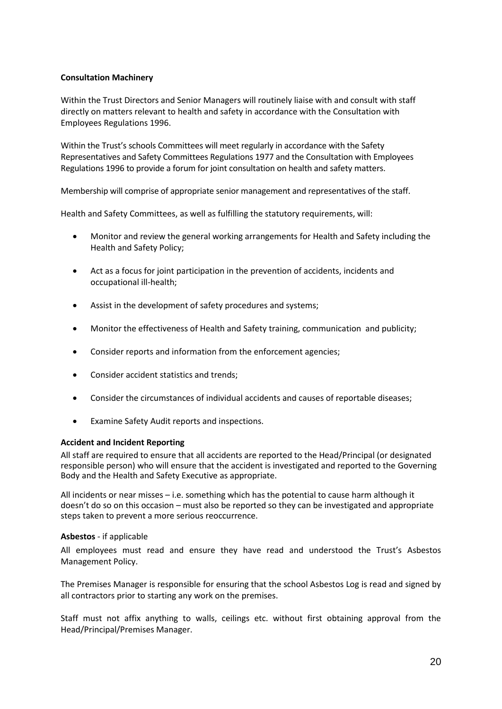# **Consultation Machinery**

Within the Trust Directors and Senior Managers will routinely liaise with and consult with staff directly on matters relevant to health and safety in accordance with the Consultation with Employees Regulations 1996.

Within the Trust's schools Committees will meet regularly in accordance with the Safety Representatives and Safety Committees Regulations 1977 and the Consultation with Employees Regulations 1996 to provide a forum for joint consultation on health and safety matters.

Membership will comprise of appropriate senior management and representatives of the staff.

Health and Safety Committees, as well as fulfilling the statutory requirements, will:

- Monitor and review the general working arrangements for Health and Safety including the Health and Safety Policy;
- Act as a focus for joint participation in the prevention of accidents, incidents and occupational ill-health;
- Assist in the development of safety procedures and systems;
- Monitor the effectiveness of Health and Safety training, communication and publicity;
- Consider reports and information from the enforcement agencies;
- Consider accident statistics and trends;
- Consider the circumstances of individual accidents and causes of reportable diseases;
- Examine Safety Audit reports and inspections.

#### **Accident and Incident Reporting**

All staff are required to ensure that all accidents are reported to the Head/Principal (or designated responsible person) who will ensure that the accident is investigated and reported to the Governing Body and the Health and Safety Executive as appropriate.

All incidents or near misses – i.e. something which has the potential to cause harm although it doesn't do so on this occasion – must also be reported so they can be investigated and appropriate steps taken to prevent a more serious reoccurrence.

#### **Asbestos** *-* if applicable

All employees must read and ensure they have read and understood the Trust's Asbestos Management Policy.

The Premises Manager is responsible for ensuring that the school Asbestos Log is read and signed by all contractors prior to starting any work on the premises.

Staff must not affix anything to walls, ceilings etc. without first obtaining approval from the Head/Principal/Premises Manager.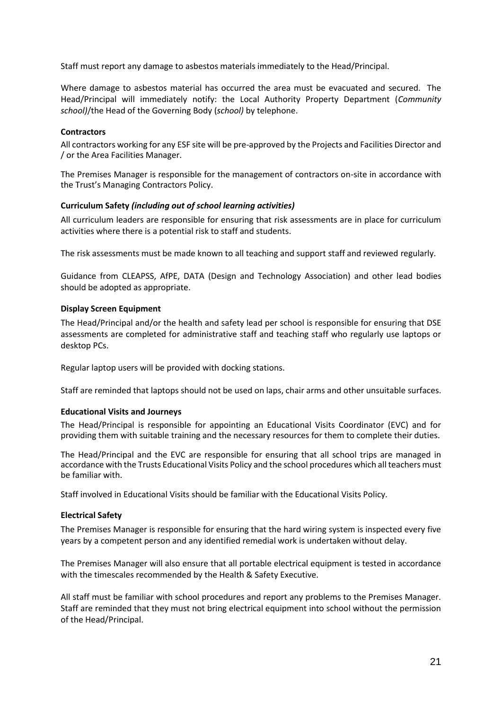Staff must report any damage to asbestos materials immediately to the Head/Principal.

Where damage to asbestos material has occurred the area must be evacuated and secured. The Head/Principal will immediately notify: the Local Authority Property Department (*Community school)*/the Head of the Governing Body (*school)* by telephone.

# **Contractors**

All contractors working for any ESF site will be pre-approved by the Projects and Facilities Director and / or the Area Facilities Manager.

The Premises Manager is responsible for the management of contractors on-site in accordance with the Trust's Managing Contractors Policy.

# **Curriculum Safety** *(including out of school learning activities)*

All curriculum leaders are responsible for ensuring that risk assessments are in place for curriculum activities where there is a potential risk to staff and students.

The risk assessments must be made known to all teaching and support staff and reviewed regularly.

Guidance from CLEAPSS, AfPE, DATA (Design and Technology Association) and other lead bodies should be adopted as appropriate.

# **Display Screen Equipment**

The Head/Principal and/or the health and safety lead per school is responsible for ensuring that DSE assessments are completed for administrative staff and teaching staff who regularly use laptops or desktop PCs.

Regular laptop users will be provided with docking stations.

Staff are reminded that laptops should not be used on laps, chair arms and other unsuitable surfaces.

#### **Educational Visits and Journeys**

The Head/Principal is responsible for appointing an Educational Visits Coordinator (EVC) and for providing them with suitable training and the necessary resources for them to complete their duties.

The Head/Principal and the EVC are responsible for ensuring that all school trips are managed in accordance with the Trusts Educational Visits Policy and the school procedures which all teachers must be familiar with.

Staff involved in Educational Visits should be familiar with the Educational Visits Policy.

# **Electrical Safety**

The Premises Manager is responsible for ensuring that the hard wiring system is inspected every five years by a competent person and any identified remedial work is undertaken without delay.

The Premises Manager will also ensure that all portable electrical equipment is tested in accordance with the timescales recommended by the Health & Safety Executive.

All staff must be familiar with school procedures and report any problems to the Premises Manager. Staff are reminded that they must not bring electrical equipment into school without the permission of the Head/Principal.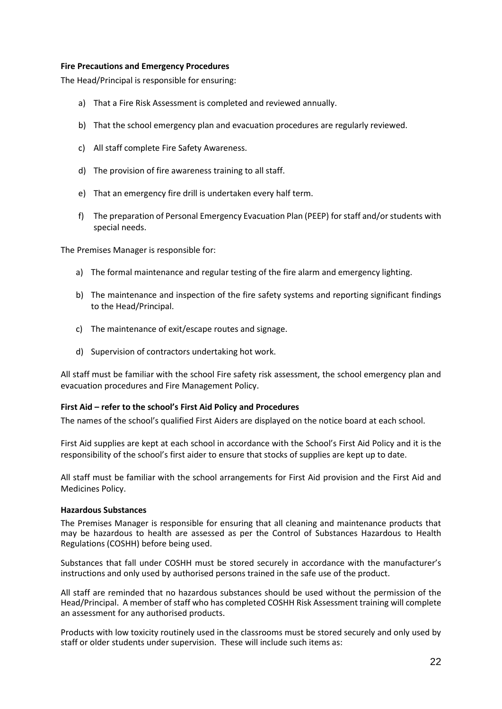#### **Fire Precautions and Emergency Procedures**

The Head/Principal is responsible for ensuring:

- a) That a Fire Risk Assessment is completed and reviewed annually.
- b) That the school emergency plan and evacuation procedures are regularly reviewed.
- c) All staff complete Fire Safety Awareness.
- d) The provision of fire awareness training to all staff.
- e) That an emergency fire drill is undertaken every half term.
- f) The preparation of Personal Emergency Evacuation Plan (PEEP) for staff and/or students with special needs.

The Premises Manager is responsible for:

- a) The formal maintenance and regular testing of the fire alarm and emergency lighting.
- b) The maintenance and inspection of the fire safety systems and reporting significant findings to the Head/Principal.
- c) The maintenance of exit/escape routes and signage.
- d) Supervision of contractors undertaking hot work.

All staff must be familiar with the school Fire safety risk assessment, the school emergency plan and evacuation procedures and Fire Management Policy.

#### **First Aid – refer to the school's First Aid Policy and Procedures**

The names of the school's qualified First Aiders are displayed on the notice board at each school.

First Aid supplies are kept at each school in accordance with the School's First Aid Policy and it is the responsibility of the school's first aider to ensure that stocks of supplies are kept up to date.

All staff must be familiar with the school arrangements for First Aid provision and the First Aid and Medicines Policy.

#### **Hazardous Substances**

The Premises Manager is responsible for ensuring that all cleaning and maintenance products that may be hazardous to health are assessed as per the Control of Substances Hazardous to Health Regulations (COSHH) before being used.

Substances that fall under COSHH must be stored securely in accordance with the manufacturer's instructions and only used by authorised persons trained in the safe use of the product.

All staff are reminded that no hazardous substances should be used without the permission of the Head/Principal. A member of staff who has completed COSHH Risk Assessment training will complete an assessment for any authorised products.

Products with low toxicity routinely used in the classrooms must be stored securely and only used by staff or older students under supervision. These will include such items as: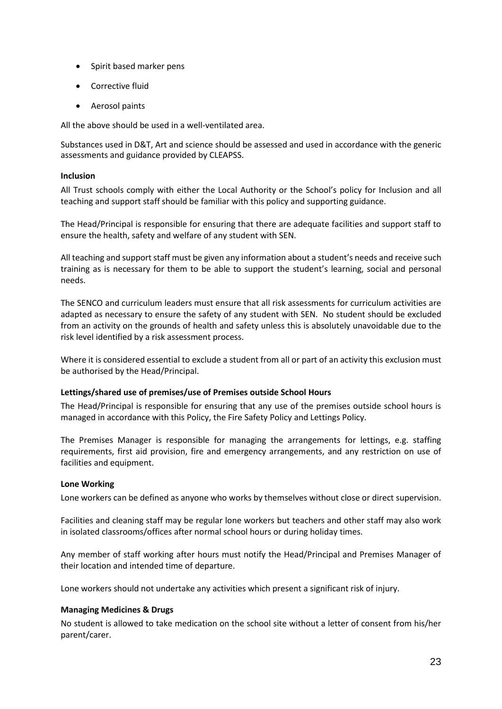- Spirit based marker pens
- Corrective fluid
- Aerosol paints

All the above should be used in a well-ventilated area.

Substances used in D&T, Art and science should be assessed and used in accordance with the generic assessments and guidance provided by CLEAPSS.

#### **Inclusion**

All Trust schools comply with either the Local Authority or the School's policy for Inclusion and all teaching and support staff should be familiar with this policy and supporting guidance.

The Head/Principal is responsible for ensuring that there are adequate facilities and support staff to ensure the health, safety and welfare of any student with SEN.

All teaching and support staff must be given any information about a student's needs and receive such training as is necessary for them to be able to support the student's learning, social and personal needs.

The SENCO and curriculum leaders must ensure that all risk assessments for curriculum activities are adapted as necessary to ensure the safety of any student with SEN. No student should be excluded from an activity on the grounds of health and safety unless this is absolutely unavoidable due to the risk level identified by a risk assessment process.

Where it is considered essential to exclude a student from all or part of an activity this exclusion must be authorised by the Head/Principal.

#### **Lettings/shared use of premises/use of Premises outside School Hours**

The Head/Principal is responsible for ensuring that any use of the premises outside school hours is managed in accordance with this Policy, the Fire Safety Policy and Lettings Policy.

The Premises Manager is responsible for managing the arrangements for lettings, e.g. staffing requirements, first aid provision, fire and emergency arrangements, and any restriction on use of facilities and equipment.

#### **Lone Working**

Lone workers can be defined as anyone who works by themselves without close or direct supervision.

Facilities and cleaning staff may be regular lone workers but teachers and other staff may also work in isolated classrooms/offices after normal school hours or during holiday times.

Any member of staff working after hours must notify the Head/Principal and Premises Manager of their location and intended time of departure.

Lone workers should not undertake any activities which present a significant risk of injury.

#### **Managing Medicines & Drugs**

No student is allowed to take medication on the school site without a letter of consent from his/her parent/carer.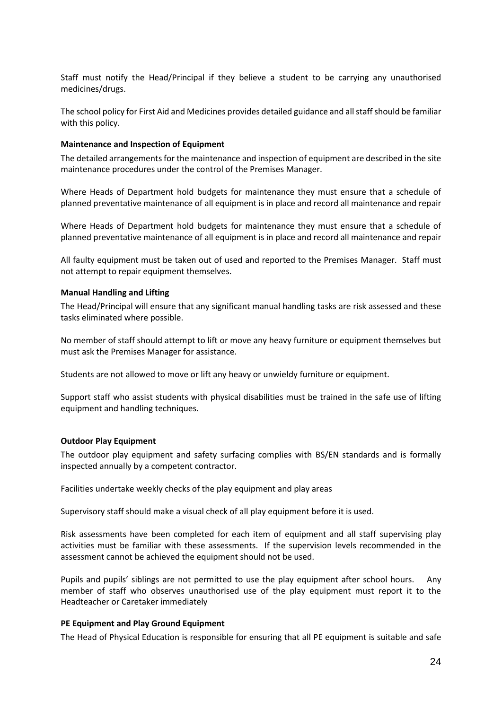Staff must notify the Head/Principal if they believe a student to be carrying any unauthorised medicines/drugs.

The school policy for First Aid and Medicines provides detailed guidance and all staff should be familiar with this policy.

#### **Maintenance and Inspection of Equipment**

The detailed arrangements for the maintenance and inspection of equipment are described in the site maintenance procedures under the control of the Premises Manager.

Where Heads of Department hold budgets for maintenance they must ensure that a schedule of planned preventative maintenance of all equipment is in place and record all maintenance and repair

Where Heads of Department hold budgets for maintenance they must ensure that a schedule of planned preventative maintenance of all equipment is in place and record all maintenance and repair

All faulty equipment must be taken out of used and reported to the Premises Manager. Staff must not attempt to repair equipment themselves.

#### **Manual Handling and Lifting**

The Head/Principal will ensure that any significant manual handling tasks are risk assessed and these tasks eliminated where possible.

No member of staff should attempt to lift or move any heavy furniture or equipment themselves but must ask the Premises Manager for assistance.

Students are not allowed to move or lift any heavy or unwieldy furniture or equipment.

Support staff who assist students with physical disabilities must be trained in the safe use of lifting equipment and handling techniques.

#### **Outdoor Play Equipment**

The outdoor play equipment and safety surfacing complies with BS/EN standards and is formally inspected annually by a competent contractor.

Facilities undertake weekly checks of the play equipment and play areas

Supervisory staff should make a visual check of all play equipment before it is used.

Risk assessments have been completed for each item of equipment and all staff supervising play activities must be familiar with these assessments. If the supervision levels recommended in the assessment cannot be achieved the equipment should not be used.

Pupils and pupils' siblings are not permitted to use the play equipment after school hours. Any member of staff who observes unauthorised use of the play equipment must report it to the Headteacher or Caretaker immediately

#### **PE Equipment and Play Ground Equipment**

The Head of Physical Education is responsible for ensuring that all PE equipment is suitable and safe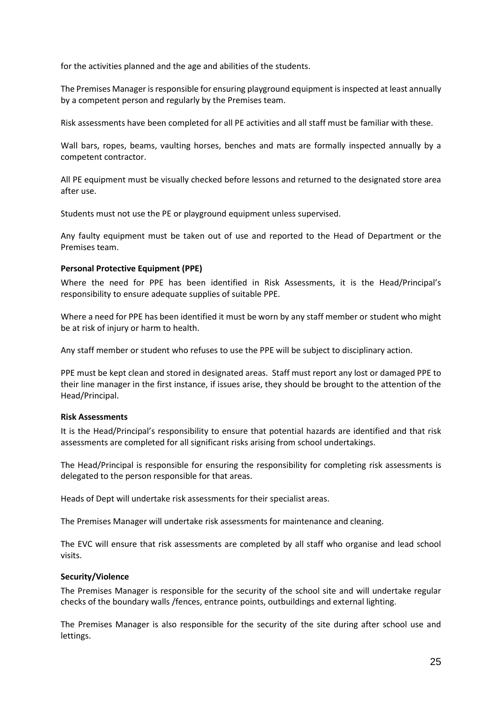for the activities planned and the age and abilities of the students.

The Premises Manager is responsible for ensuring playground equipment is inspected at least annually by a competent person and regularly by the Premises team.

Risk assessments have been completed for all PE activities and all staff must be familiar with these.

Wall bars, ropes, beams, vaulting horses, benches and mats are formally inspected annually by a competent contractor.

All PE equipment must be visually checked before lessons and returned to the designated store area after use.

Students must not use the PE or playground equipment unless supervised.

Any faulty equipment must be taken out of use and reported to the Head of Department or the Premises team.

# **Personal Protective Equipment (PPE)**

Where the need for PPE has been identified in Risk Assessments, it is the Head/Principal's responsibility to ensure adequate supplies of suitable PPE.

Where a need for PPE has been identified it must be worn by any staff member or student who might be at risk of injury or harm to health.

Any staff member or student who refuses to use the PPE will be subject to disciplinary action.

PPE must be kept clean and stored in designated areas. Staff must report any lost or damaged PPE to their line manager in the first instance, if issues arise, they should be brought to the attention of the Head/Principal.

#### **Risk Assessments**

It is the Head/Principal's responsibility to ensure that potential hazards are identified and that risk assessments are completed for all significant risks arising from school undertakings.

The Head/Principal is responsible for ensuring the responsibility for completing risk assessments is delegated to the person responsible for that areas.

Heads of Dept will undertake risk assessments for their specialist areas.

The Premises Manager will undertake risk assessments for maintenance and cleaning.

The EVC will ensure that risk assessments are completed by all staff who organise and lead school visits.

#### **Security/Violence**

The Premises Manager is responsible for the security of the school site and will undertake regular checks of the boundary walls /fences, entrance points, outbuildings and external lighting.

The Premises Manager is also responsible for the security of the site during after school use and lettings.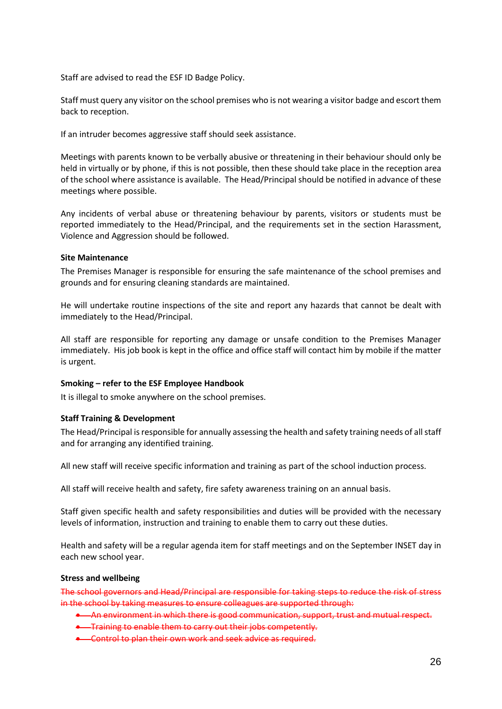Staff are advised to read the ESF ID Badge Policy.

Staff must query any visitor on the school premises who is not wearing a visitor badge and escort them back to reception.

If an intruder becomes aggressive staff should seek assistance.

Meetings with parents known to be verbally abusive or threatening in their behaviour should only be held in virtually or by phone, if this is not possible, then these should take place in the reception area of the school where assistance is available. The Head/Principal should be notified in advance of these meetings where possible.

Any incidents of verbal abuse or threatening behaviour by parents, visitors or students must be reported immediately to the Head/Principal, and the requirements set in the section Harassment, Violence and Aggression should be followed.

# **Site Maintenance**

The Premises Manager is responsible for ensuring the safe maintenance of the school premises and grounds and for ensuring cleaning standards are maintained.

He will undertake routine inspections of the site and report any hazards that cannot be dealt with immediately to the Head/Principal.

All staff are responsible for reporting any damage or unsafe condition to the Premises Manager immediately. His job book is kept in the office and office staff will contact him by mobile if the matter is urgent.

#### **Smoking – refer to the ESF Employee Handbook**

It is illegal to smoke anywhere on the school premises.

# **Staff Training & Development**

The Head/Principal is responsible for annually assessing the health and safety training needs of all staff and for arranging any identified training.

All new staff will receive specific information and training as part of the school induction process.

All staff will receive health and safety, fire safety awareness training on an annual basis.

Staff given specific health and safety responsibilities and duties will be provided with the necessary levels of information, instruction and training to enable them to carry out these duties.

Health and safety will be a regular agenda item for staff meetings and on the September INSET day in each new school year.

#### **Stress and wellbeing**

The school governors and Head/Principal are responsible for taking steps to reduce the risk of stress in the school by taking measures to ensure colleagues are supported through:

- An environment in which there is good communication, support, trust and mutual respect.
- **•** Training to enable them to carry out their jobs competently.
- Control to plan their own work and seek advice as required.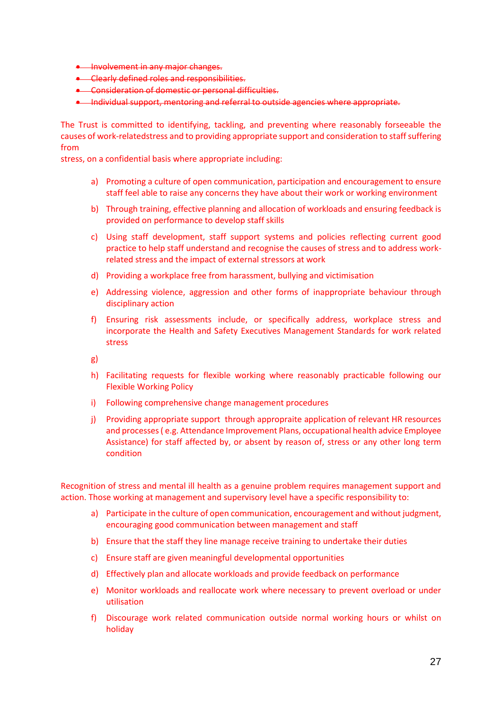- **•** Involvement in any major changes.
- Clearly defined roles and responsibilities.
- Consideration of domestic or personal difficulties.
- Individual support, mentoring and referral to outside agencies where appropriate.

The Trust is committed to identifying, tackling, and preventing where reasonably forseeable the causes of work-relatedstress and to providing appropriate support and consideration to staff suffering from

stress, on a confidential basis where appropriate including:

- a) Promoting a culture of open communication, participation and encouragement to ensure staff feel able to raise any concerns they have about their work or working environment
- b) Through training, effective planning and allocation of workloads and ensuring feedback is provided on performance to develop staff skills
- c) Using staff development, staff support systems and policies reflecting current good practice to help staff understand and recognise the causes of stress and to address workrelated stress and the impact of external stressors at work
- d) Providing a workplace free from harassment, bullying and victimisation
- e) Addressing violence, aggression and other forms of inappropriate behaviour through disciplinary action
- f) Ensuring risk assessments include, or specifically address, workplace stress and incorporate the Health and Safety Executives Management Standards for work related stress

g)

- h) Facilitating requests for flexible working where reasonably practicable following our Flexible Working Policy
- i) Following comprehensive change management procedures
- j) Providing appropriate support through appropraite application of relevant HR resources and processes ( e.g. Attendance Improvement Plans, occupational health advice Employee Assistance) for staff affected by, or absent by reason of, stress or any other long term condition

Recognition of stress and mental ill health as a genuine problem requires management support and action. Those working at management and supervisory level have a specific responsibility to:

- a) Participate in the culture of open communication, encouragement and without judgment, encouraging good communication between management and staff
- b) Ensure that the staff they line manage receive training to undertake their duties
- c) Ensure staff are given meaningful developmental opportunities
- d) Effectively plan and allocate workloads and provide feedback on performance
- e) Monitor workloads and reallocate work where necessary to prevent overload or under utilisation
- f) Discourage work related communication outside normal working hours or whilst on holiday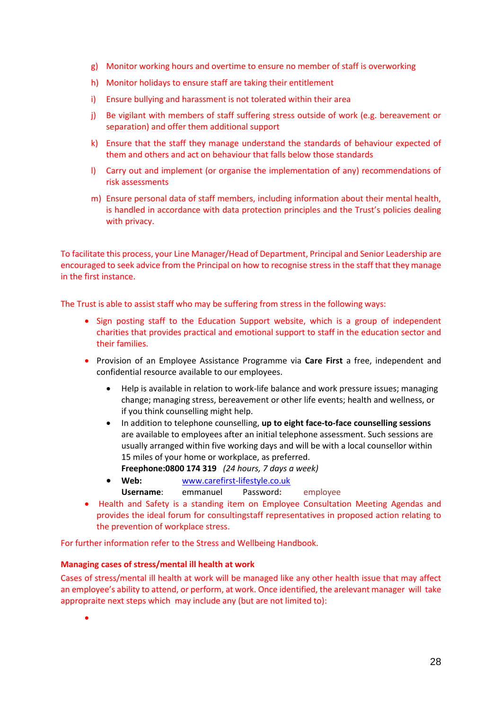- g) Monitor working hours and overtime to ensure no member of staff is overworking
- h) Monitor holidays to ensure staff are taking their entitlement
- i) Ensure bullying and harassment is not tolerated within their area
- j) Be vigilant with members of staff suffering stress outside of work (e.g. bereavement or separation) and offer them additional support
- k) Ensure that the staff they manage understand the standards of behaviour expected of them and others and act on behaviour that falls below those standards
- l) Carry out and implement (or organise the implementation of any) recommendations of risk assessments
- m) Ensure personal data of staff members, including information about their mental health, is handled in accordance with data protection principles and the Trust's policies dealing with privacy.

To facilitate this process, your Line Manager/Head of Department, Principal and Senior Leadership are encouraged to seek advice from the Principal on how to recognise stress in the staff that they manage in the first instance.

The Trust is able to assist staff who may be suffering from stress in the following ways:

- Sign posting staff to the Education Support website, which is a group of independent charities that provides practical and emotional support to staff in the education sector and their families.
- Provision of an Employee Assistance Programme via **Care First** a free, independent and confidential resource available to our employees.
	- Help is available in relation to work-life balance and work pressure issues; managing change; managing stress, bereavement or other life events; health and wellness, or if you think counselling might help.
	- In addition to telephone counselling, **up to eight face-to-face counselling sessions** are available to employees after an initial telephone assessment. Such sessions are usually arranged within five working days and will be with a local counsellor within 15 miles of your home or workplace, as preferred.
	- **Freephone:0800 174 319** *(24 hours, 7 days a week)*
	- **Web:** [www.carefirst-lifestyle.co.uk](http://www.carefirst-lifestyle.co.uk/)
		- **Username**: emmanuel Password**:** employee
- Health and Safety is a standing item on Employee Consultation Meeting Agendas and provides the ideal forum for consultingstaff representatives in proposed action relating to the prevention of workplace stress.

For further information refer to the Stress and Wellbeing Handbook.

#### **Managing cases of stress/mental ill health at work**

Cases of stress/mental ill health at work will be managed like any other health issue that may affect an employee's ability to attend, or perform, at work. Once identified, the arelevant manager will take appropraite next steps which may include any (but are not limited to):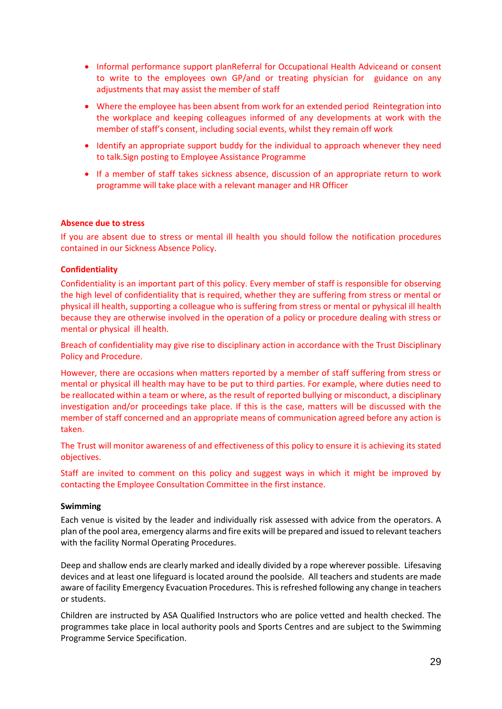- Informal performance support planReferral for Occupational Health Adviceand or consent to write to the employees own GP/and or treating physician for guidance on any adjustments that may assist the member of staff
- Where the employee has been absent from work for an extended period Reintegration into the workplace and keeping colleagues informed of any developments at work with the member of staff's consent, including social events, whilst they remain off work
- Identify an appropriate support buddy for the individual to approach whenever they need to talk.Sign posting to Employee Assistance Programme
- If a member of staff takes sickness absence, discussion of an appropriate return to work programme will take place with a relevant manager and HR Officer

#### **Absence due to stress**

If you are absent due to stress or mental ill health you should follow the notification procedures contained in our Sickness Absence Policy.

#### **Confidentiality**

Confidentiality is an important part of this policy. Every member of staff is responsible for observing the high level of confidentiality that is required, whether they are suffering from stress or mental or physical ill health, supporting a colleague who is suffering from stress or mental or pyhysical ill health because they are otherwise involved in the operation of a policy or procedure dealing with stress or mental or physical ill health.

Breach of confidentiality may give rise to disciplinary action in accordance with the Trust Disciplinary Policy and Procedure.

However, there are occasions when matters reported by a member of staff suffering from stress or mental or physical ill health may have to be put to third parties. For example, where duties need to be reallocated within a team or where, as the result of reported bullying or misconduct, a disciplinary investigation and/or proceedings take place. If this is the case, matters will be discussed with the member of staff concerned and an appropriate means of communication agreed before any action is taken.

The Trust will monitor awareness of and effectiveness of this policy to ensure it is achieving its stated objectives.

Staff are invited to comment on this policy and suggest ways in which it might be improved by contacting the Employee Consultation Committee in the first instance.

#### **Swimming**

Each venue is visited by the leader and individually risk assessed with advice from the operators. A plan of the pool area, emergency alarms and fire exits will be prepared and issued to relevant teachers with the facility Normal Operating Procedures.

Deep and shallow ends are clearly marked and ideally divided by a rope wherever possible. Lifesaving devices and at least one lifeguard is located around the poolside. All teachers and students are made aware of facility Emergency Evacuation Procedures. This is refreshed following any change in teachers or students.

Children are instructed by ASA Qualified Instructors who are police vetted and health checked. The programmes take place in local authority pools and Sports Centres and are subject to the Swimming Programme Service Specification.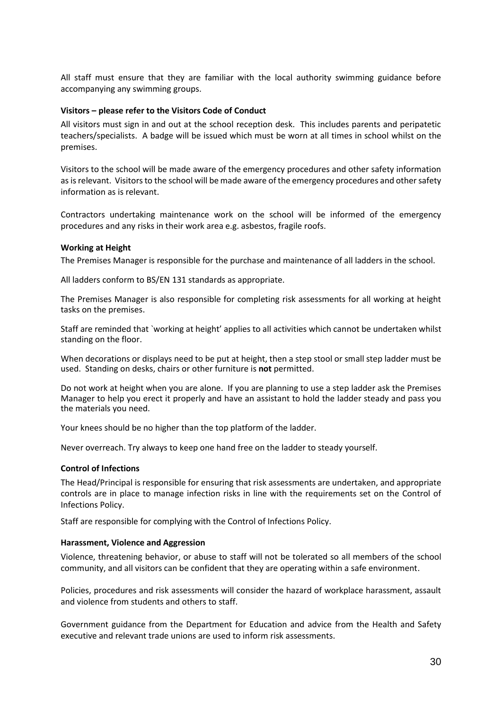All staff must ensure that they are familiar with the local authority swimming guidance before accompanying any swimming groups.

#### **Visitors – please refer to the Visitors Code of Conduct**

All visitors must sign in and out at the school reception desk. This includes parents and peripatetic teachers/specialists. A badge will be issued which must be worn at all times in school whilst on the premises.

Visitors to the school will be made aware of the emergency procedures and other safety information as is relevant. Visitors to the school will be made aware of the emergency procedures and other safety information as is relevant.

Contractors undertaking maintenance work on the school will be informed of the emergency procedures and any risks in their work area e.g. asbestos, fragile roofs.

#### **Working at Height**

The Premises Manager is responsible for the purchase and maintenance of all ladders in the school.

All ladders conform to BS/EN 131 standards as appropriate.

The Premises Manager is also responsible for completing risk assessments for all working at height tasks on the premises.

Staff are reminded that `working at height' applies to all activities which cannot be undertaken whilst standing on the floor.

When decorations or displays need to be put at height, then a step stool or small step ladder must be used. Standing on desks, chairs or other furniture is **not** permitted.

Do not work at height when you are alone. If you are planning to use a step ladder ask the Premises Manager to help you erect it properly and have an assistant to hold the ladder steady and pass you the materials you need.

Your knees should be no higher than the top platform of the ladder.

Never overreach. Try always to keep one hand free on the ladder to steady yourself.

#### **Control of Infections**

The Head/Principal is responsible for ensuring that risk assessments are undertaken, and appropriate controls are in place to manage infection risks in line with the requirements set on the Control of Infections Policy.

Staff are responsible for complying with the Control of Infections Policy.

#### **Harassment, Violence and Aggression**

Violence, threatening behavior, or abuse to staff will not be tolerated so all members of the school community, and all visitors can be confident that they are operating within a safe environment.

Policies, procedures and risk assessments will consider the hazard of workplace harassment, assault and violence from students and others to staff.

Government guidance from the Department for Education and advice from the Health and Safety executive and relevant trade unions are used to inform risk assessments.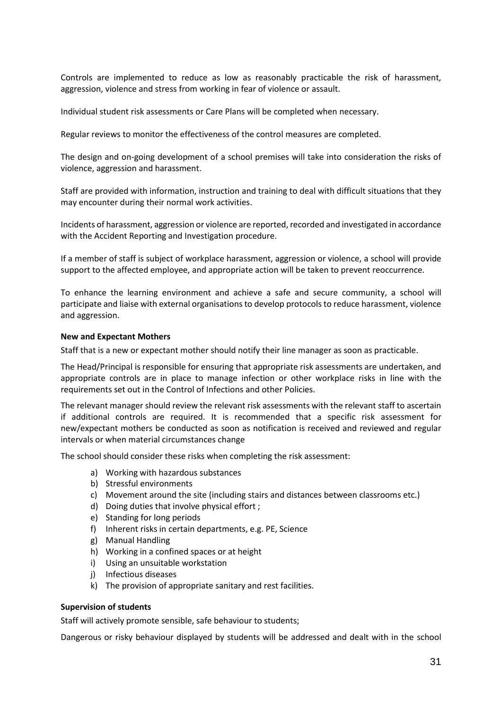Controls are implemented to reduce as low as reasonably practicable the risk of harassment, aggression, violence and stress from working in fear of violence or assault.

Individual student risk assessments or Care Plans will be completed when necessary.

Regular reviews to monitor the effectiveness of the control measures are completed.

The design and on-going development of a school premises will take into consideration the risks of violence, aggression and harassment.

Staff are provided with information, instruction and training to deal with difficult situations that they may encounter during their normal work activities.

Incidents of harassment, aggression or violence are reported, recorded and investigated in accordance with the Accident Reporting and Investigation procedure.

If a member of staff is subject of workplace harassment, aggression or violence, a school will provide support to the affected employee, and appropriate action will be taken to prevent reoccurrence.

To enhance the learning environment and achieve a safe and secure community, a school will participate and liaise with external organisations to develop protocols to reduce harassment, violence and aggression.

#### **New and Expectant Mothers**

Staff that is a new or expectant mother should notify their line manager as soon as practicable.

The Head/Principal is responsible for ensuring that appropriate risk assessments are undertaken, and appropriate controls are in place to manage infection or other workplace risks in line with the requirements set out in the Control of Infections and other Policies.

The relevant manager should review the relevant risk assessments with the relevant staff to ascertain if additional controls are required. It is recommended that a specific risk assessment for new/expectant mothers be conducted as soon as notification is received and reviewed and regular intervals or when material circumstances change

The school should consider these risks when completing the risk assessment:

- a) Working with hazardous substances
- b) Stressful environments
- c) Movement around the site (including stairs and distances between classrooms etc.)
- d) Doing duties that involve physical effort ;
- e) Standing for long periods
- f) Inherent risks in certain departments, e.g. PE, Science
- g) Manual Handling
- h) Working in a confined spaces or at height
- i) Using an unsuitable workstation
- j) Infectious diseases
- k) The provision of appropriate sanitary and rest facilities.

#### **Supervision of students**

Staff will actively promote sensible, safe behaviour to students;

Dangerous or risky behaviour displayed by students will be addressed and dealt with in the school